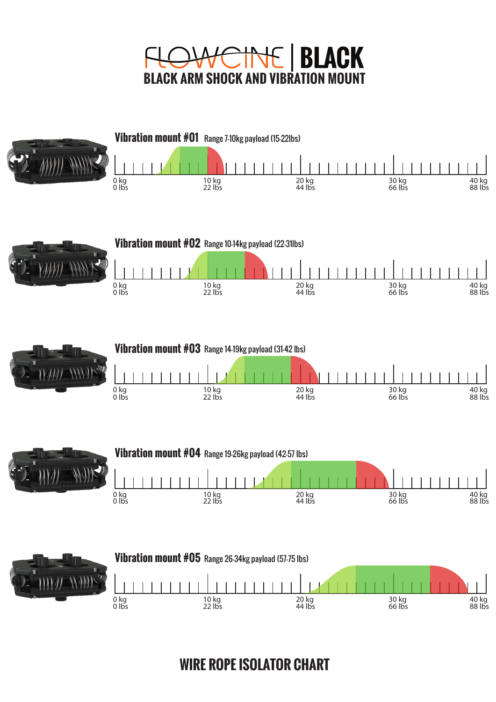



**WIRE ROPE ISOLATOR CHART**